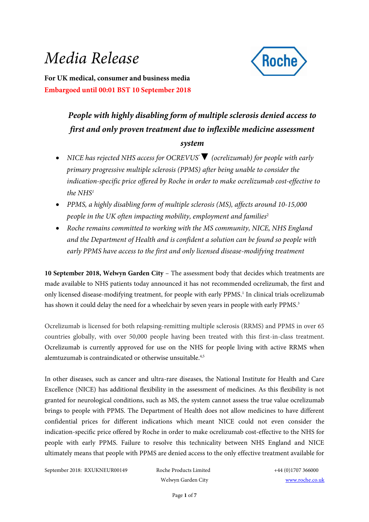# *Media Release*

<span id="page-0-1"></span>

**For UK medical, consumer and business media Embargoed until 00:01 BST 10 September 2018**

## *People with highly disabling form of multiple sclerosis denied access to first and only proven treatment due to inflexible medicine assessment system*

- *NICE has rejected NHS access for OCREVUS®▼ (ocrelizumab) for people with early primary progressive multiple sclerosis (PPMS) after being unable to consider the indication-specific price offered by Roche in order to make ocrelizumab cost-effective to the NHS<sup>1</sup>*
- <span id="page-0-0"></span> *PPMS, a highly disabling form of multiple sclerosis (MS), affects around 10-15,000 people in the UK often impacting mobility, employment and families<sup>2</sup>*
- <span id="page-0-2"></span> *Roche remains committed to working with the MS community, NICE, NHS England and the Department of Health and is confident a solution can be found so people with early PPMS have access to the first and only licensed disease-modifying treatment*

**10 September 2018, Welwyn Garden City** – The assessment body that decides which treatments are made available to NHS patients today announced it has not recommended ocrelizumab, the first and only licensed disease-modifying treatment, for people with early PPM[S.](#page-0-0) 1 In clinical trials ocrelizumab has shown it could delay the need for a wheelchair by seven years in people with early PPMS.<sup>3</sup>

<span id="page-0-3"></span>Ocrelizumab is licensed for both relapsing-remitting multiple sclerosis (RRMS) and PPMS in over 65 countries globally, with over 50,000 people having been treated with this first-in-class treatment. Ocrelizumab is currently approved for use on the NHS for people living with active RRMS when alemtuzumab is contraindicated or otherwise unsuitable.<sup>4,5</sup>

<span id="page-0-5"></span><span id="page-0-4"></span>In other diseases, such as cancer and ultra-rare diseases, the National Institute for Health and Care Excellence (NICE) has additional flexibility in the assessment of medicines. As this flexibility is not granted for neurological conditions, such as MS, the system cannot assess the true value ocrelizumab brings to people with PPMS. The Department of Health does not allow medicines to have different confidential prices for different indications which meant NICE could not even consider the indication-specific price offered by Roche in order to make ocrelizumab cost-effective to the NHS for people with early PPMS. Failure to resolve this technicality between NHS England and NICE ultimately means that people with PPMS are denied access to the only effective treatment available for

September 2018: RXUKNEUR00149 Roche Products Limited +44 (0)1707 366000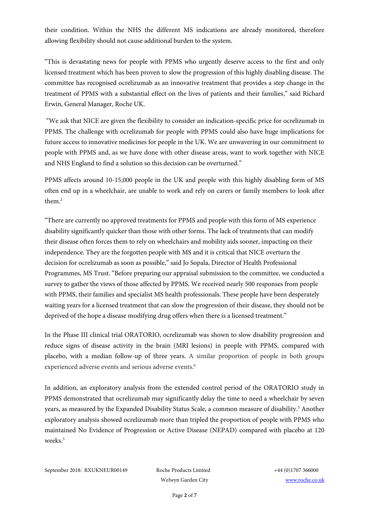their condition. Within the NHS the different MS indications are already monitored, therefore allowing flexibility should not cause additional burden to the system.

"This is devastating news for people with PPMS who urgently deserve access to the first and only licensed treatment which has been proven to slow the progression of this highly disabling disease. The committee has recognised ocrelizumab as an innovative treatment that provides a step change in the treatment of PPMS with a substantial effect on the lives of patients and their families," said Richard Erwin, General Manager, Roche UK.

"We ask that NICE are given the flexibility to consider an indication-specific price for ocrelizumab in PPMS. The challenge with ocrelizumab for people with PPMS could also have huge implications for future access to innovative medicines for people in the UK. We are unwavering in our commitment to people with PPMS and, as we have done with other disease areas, want to work together with NICE and NHS England to find a solution so this decision can be overturned."

PPMS affects around 10-15,000 people in the UK and people with this highly disabling form of MS often end up in a wheelchair, are unable to work and rely on carers or family members to look after them[.](#page-0-1)<sup>2</sup>

"There are currently no approved treatments for PPMS and people with this form of MS experience disability significantly quicker than those with other forms. The lack of treatments that can modify their disease often forces them to rely on wheelchairs and mobility aids sooner, impacting on their independence. They are the forgotten people with MS and it is critical that NICE overturn the decision for ocrelizumab as soon as possible," said Jo Sopala, Director of Health Professional Programmes, MS Trust. "Before preparing our appraisal submission to the committee, we conducted a survey to gather the views of those affected by PPMS. We received nearly 500 responses from people with PPMS, their families and specialist MS health professionals. These people have been desperately waiting years for a licensed treatment that can slow the progression of their disease, they should not be deprived of the hope a disease modifying drug offers when there is a licensed treatment."

In the Phase III clinical trial ORATORIO, ocrelizumab was shown to slow disability progression and reduce signs of disease activity in the brain (MRI lesions) in people with PPMS, compared with placebo, with a median follow-up of three years. A similar proportion of people in both groups experienced adverse events and serious adverse events.<sup>6</sup>

<span id="page-1-0"></span>In addition, an exploratory analysis from the extended control period of the ORATORIO study in PPMS demonstrated that ocrelizumab may significantly delay the time to need a wheelchair by seven years, as measured by the Expanded Disability Status Scale, a common measure of disability[.](#page-0-2) <sup>3</sup> Another exploratory analysis showed ocrelizumab more than tripled the proportion of people with PPMS who maintained No Evidence of Progression or Active Disease (NEPAD) compared with placebo at 120 weeks<sup>3</sup>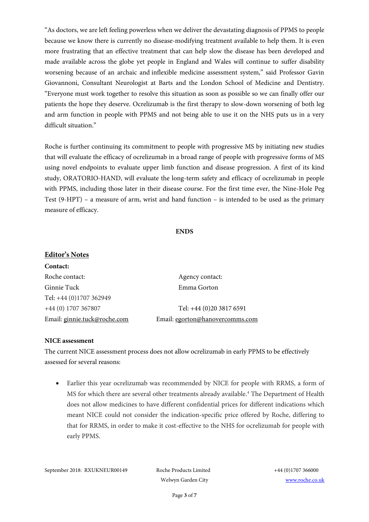"As doctors, we are left feeling powerless when we deliver the devastating diagnosis of PPMS to people because we know there is currently no disease-modifying treatment available to help them. It is even more frustrating that an effective treatment that can help slow the disease has been developed and made available across the globe yet people in England and Wales will continue to suffer disability worsening because of an archaic and inflexible medicine assessment system," said Professor Gavin Giovannoni, Consultant Neurologist at Barts and the London School of Medicine and Dentistry. "Everyone must work together to resolve this situation as soon as possible so we can finally offer our patients the hope they deserve. Ocrelizumab is the first therapy to slow-down worsening of both leg and arm function in people with PPMS and not being able to use it on the NHS puts us in a very difficult situation."

Roche is further continuing its commitment to people with progressive MS by initiating new studies that will evaluate the efficacy of ocrelizumab in a broad range of people with progressive forms of MS using novel endpoints to evaluate upper limb function and disease progression. A first of its kind study, ORATORIO-HAND, will evaluate the long-term safety and efficacy of ocrelizumab in people with PPMS, including those later in their disease course. For the first time ever, the Nine-Hole Peg Test (9-HPT) – a measure of arm, wrist and hand function – is intended to be used as the primary measure of efficacy.

#### **ENDS**

| <b>Editor's Notes</b>        |                                 |
|------------------------------|---------------------------------|
| Contact:                     |                                 |
| Roche contact:               | Agency contact:                 |
| Ginnie Tuck                  | Emma Gorton                     |
| Tel: +44 (0)1707 362949      |                                 |
| +44 (0) 1707 367807          | Tel: +44 (0)20 3817 6591        |
| Email: ginnie.tuck@roche.com | Email: egorton@hanovercomms.com |

#### **NICE assessment**

The current NICE assessment process does not allow ocrelizumab in early PPMS to be effectively assessed for several reasons:

 Earlier this year ocrelizumab was recommended by NICE for people with RRMS, a form of MS for which there are several other treatments already available.<sup>[4](#page-0-3)</sup> The Department of Health does not allow medicines to have different confidential prices for different indications which meant NICE could not consider the indication-specific price offered by Roche, differing to that for RRMS, in order to make it cost-effective to the NHS for ocrelizumab for people with early PPMS.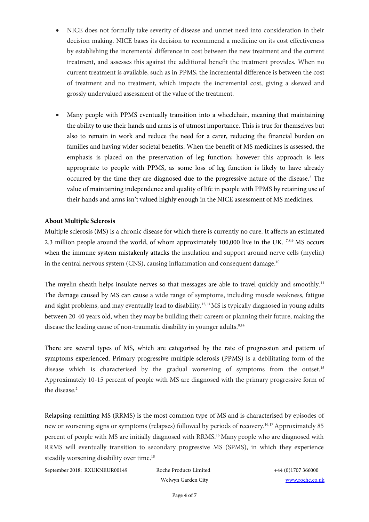- NICE does not formally take severity of disease and unmet need into consideration in their decision making. NICE bases its decision to recommend a medicine on its cost effectiveness by establishing the incremental difference in cost between the new treatment and the current treatment, and assesses this against the additional benefit the treatment provides. When no current treatment is available, such as in PPMS, the incremental difference is between the cost of treatment and no treatment, which impacts the incremental cost, giving a skewed and grossly undervalued assessment of the value of the treatment.
- Many people with PPMS eventually transition into a wheelchair, meaning that maintaining the ability to use their hands and arms is of utmost importance. This is true for themselves but also to remain in work and reduce the need for a carer, reducing the financial burden on families and having wider societal benefits. When the benefit of MS medicines is assessed, the emphasis is placed on the preservation of leg function; however this approach is less appropriate to people with PPMS, as some loss of leg function is likely to have already occurred by the time they are diagnosed due to the progressive nature of the disease[.](#page-0-1)<sup>2</sup> The value of maintaining independence and quality of life in people with PPMS by retaining use of their hands and arms isn't valued highly enough in the NICE assessment of MS medicines.

#### **About Multiple Sclerosis**

<span id="page-3-0"></span>Multiple sclerosis (MS) is a chronic disease for which there is currently no cure. It affects an estimated 2.3 million people around the world, of whom approximately 100,000 live in the UK.<sup>7,8,9</sup> MS occurs when the immune system mistakenly attacks the insulation and support around nerve cells (myelin) in the central nervous system (CNS), causing inflammation and consequent damage.<sup>10</sup>

The myelin sheath helps insulate nerves so that messages are able to travel quickly and smoothly.<sup>11</sup> The damage caused by MS can cause a wide range of symptoms, including muscle weakness, fatigue and sight problems, and may eventually lead to disability.<sup>12,13</sup> MS is typically diagnosed in young adults between 20-40 years old, when they may be building their careers or planning their future, making the disease the leading cause of non-traumatic disability in younger adults.<sup>[8,1](#page-3-0)4</sup>

There are several types of MS, which are categorised by the rate of progression and pattern of symptoms experienced. Primary progressive multiple sclerosis (PPMS) is a debilitating form of the disease which is characterised by the gradual worsening of symptoms from the outset.<sup>15</sup> Approximately 10-15 percent of people with MS are diagnosed with the primary progressive form of the disease[.](#page-0-1)<sup>2</sup>

<span id="page-3-1"></span>Relapsing-remitting MS (RRMS) is the most common type of MS and is characterised by episodes of new or worsening signs or symptoms (relapses) followed by periods of recovery.<sup>16,17</sup> Approximately 85 percent of people with MS are initially diagnosed with RRMS.[16](#page-3-1) Many people who are diagnosed with RRMS will eventually transition to secondary progressive MS (SPMS), in which they experience steadily worsening disability over time.<sup>18</sup>

September 2018: RXUKNEUR00149 Roche Products Limited +44 (0)1707 366000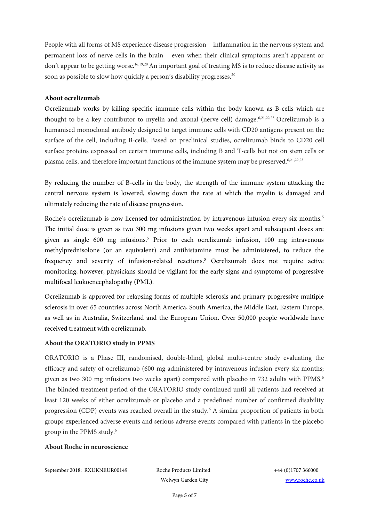<span id="page-4-0"></span>People with all forms of MS experience disease progression – inflammation in the nervous system and permanent loss of nerve cells in the brain – even when their clinical symptoms aren't apparent or don't appear to be getting worse.<sup>[16,1](#page-3-1)9,20</sup> An important goal of treating MS is to reduce disease activity as soon as possible to slow how quickly a person's disability progresses.<sup>[20](#page-4-0)</sup>

#### **About ocrelizumab**

<span id="page-4-3"></span><span id="page-4-2"></span><span id="page-4-1"></span>Ocrelizumab works by killing specific immune cells within the body known as B-cells which are thought to be a key contributor to myelin and axonal (nerve cell) damage.<sup>[6,2](#page-1-0)1,22,23</sup> Ocrelizumab is a humanised monoclonal antibody designed to target immune cells with CD20 antigens present on the surface of the cell, including B-cells. Based on preclinical studies, ocrelizumab binds to CD20 cell surface proteins expressed on certain immune cells, including B and T-cells but not on stem cells or plasma cells, and therefore important functions of the immune system may be preserved.<sup>[6,](#page-1-0)[21,](#page-4-1)[22,](#page-4-2)[23](#page-4-3)</sup>

By reducing the number of B-cells in the body, the strength of the immune system attacking the central nervous system is lowered, slowing down the rate at which the myelin is damaged and ultimately reducing the rate of disease progression.

Roche's ocrelizumab is now licensed for administration by intravenous infusion every six months[.](#page-0-4)<sup>5</sup> The initial dose is given as two 300 mg infusions given two weeks apart and subsequent doses are given as single 600 mg infusions[.](#page-0-5) <sup>5</sup> Prior to each ocrelizumab infusion, 100 mg intravenous methylprednisolone (or an equivalent) and antihistamine must be administered, to reduce the frequency and severity of infusion-related reactions[.](#page-0-5) <sup>5</sup> Ocrelizumab does not require active monitoring, however, physicians should be vigilant for the early signs and symptoms of progressive multifocal leukoencephalopathy (PML).

Ocrelizumab is approved for relapsing forms of multiple sclerosis and primary progressive multiple sclerosis in over 65 countries across North America, South America, the Middle East, Eastern Europe, as well as in Australia, Switzerland and the European Union. Over 50,000 people worldwide have received treatment with ocrelizumab.

#### **About the ORATORIO study in PPMS**

ORATORIO is a Phase III, randomised, double-blind, global multi-centre study evaluating the efficacy and safety of ocrelizumab (600 mg administered by intravenous infusion every six months; given as two 300 mg infusions two weeks apart) compared with placebo in 732 adults with PPMS[.](#page-1-0)<sup>6</sup> The blinded treatment period of the ORATORIO study continued until all patients had received at least 120 weeks of either ocrelizumab or placebo and a predefined number of confirmed disability progression (CDP) events was reached overall in the study.[6](#page-1-0) A similar proportion of patients in both groups experienced adverse events and serious adverse events compared with patients in the placebo group in the PPMS study[.](#page-1-0) 6

#### **About Roche in neuroscience**

September 2018: RXUKNEUR00149 Roche Products Limited +44 (0)1707 366000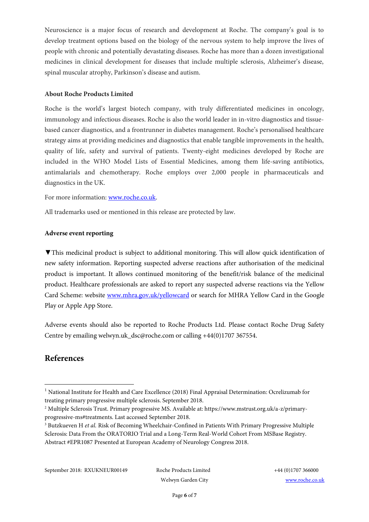Neuroscience is a major focus of research and development at Roche. The company's goal is to develop treatment options based on the biology of the nervous system to help improve the lives of people with chronic and potentially devastating diseases. Roche has more than a dozen investigational medicines in clinical development for diseases that include multiple sclerosis, Alzheimer's disease, spinal muscular atrophy, Parkinson's disease and autism.

#### **About Roche Products Limited**

Roche is the world's largest biotech company, with truly differentiated medicines in oncology, immunology and infectious diseases. Roche is also the world leader in in-vitro diagnostics and tissuebased cancer diagnostics, and a frontrunner in diabetes management. Roche's personalised healthcare strategy aims at providing medicines and diagnostics that enable tangible improvements in the health, quality of life, safety and survival of patients. Twenty-eight medicines developed by Roche are included in the WHO Model Lists of Essential Medicines, among them life-saving antibiotics, antimalarials and chemotherapy. Roche employs over 2,000 people in pharmaceuticals and diagnostics in the UK.

For more information[: www.roche.co.uk.](http://www.roche.co.uk/)

All trademarks used or mentioned in this release are protected by law.

#### **Adverse event reporting**

**▼**This medicinal product is subject to additional monitoring. This will allow quick identification of new safety information. Reporting suspected adverse reactions after authorisation of the medicinal product is important. It allows continued monitoring of the benefit/risk balance of the medicinal product. Healthcare professionals are asked to report any suspected adverse reactions via the Yellow Card Scheme: website [www.mhra.gov.uk/yellowcard](http://www.mhra.gov.uk/yellowcard) or search for MHRA Yellow Card in the Google Play or Apple App Store.

Adverse events should also be reported to Roche Products Ltd. Please contact Roche Drug Safety Centre by emailing welwyn.uk dsc@roche.com or calling +44(0)1707 367554.

### **References**

1

September 2018: RXUKNEUR00149 Roche Products Limited +44 (0)1707 366000

<sup>&</sup>lt;sup>1</sup> National Institute for Health and Care Excellence (2018) Final Appraisal Determination: Ocrelizumab for treating primary progressive multiple sclerosis. September 2018.

<sup>2</sup> Multiple Sclerosis Trust. Primary progressive MS. Available at: https://www.mstrust.org.uk/a-z/primaryprogressive-ms#treatments. Last accessed September 2018.

<sup>&</sup>lt;sup>3</sup> Butzkueven H et al. Risk of Becoming Wheelchair-Confined in Patients With Primary Progressive Multiple Sclerosis: Data From the ORATORIO Trial and a Long-Term Real-World Cohort From MSBase Registry. Abstract #EPR1087 Presented at European Academy of Neurology Congress 2018.